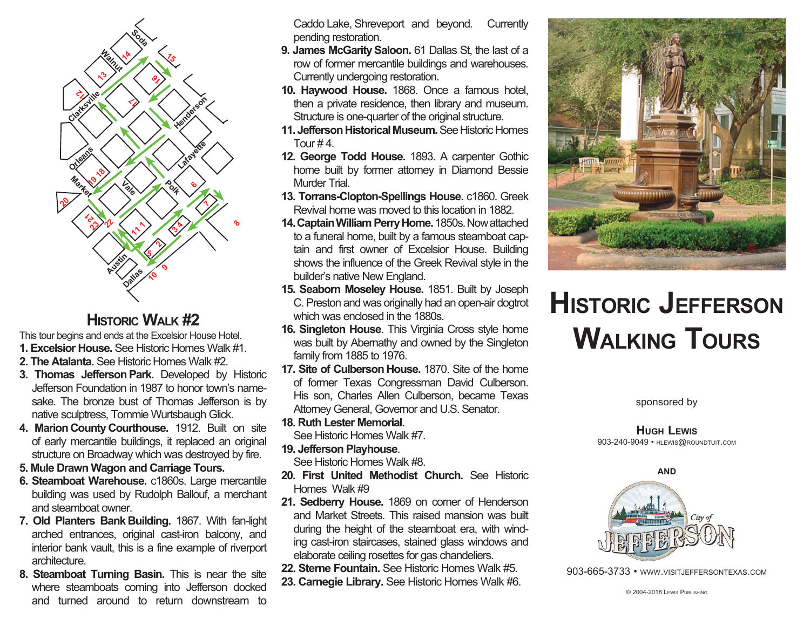

## **HISTORIC WAI K #2**

This tour begins and ends at the Excelsior House Hotel.

- **1. Excelsior House.** See Historic Homes Walk #1.
- **2. The Atalanta.** See Historic Homes Walk #2.
- **3. Thomas Jefferson Park.** Developed by Historic Jefferson Foundation in 1987 to honor town's namesake. The bronze bust of Thomas Jefferson is by native sculptress, Tommie Wurtsbaugh Glick.
- **4. Marion County Courthouse.** 1912. Built on site of early mercantile buildings, it replaced an original structure on Broadway which was destroyed by fire.
- **5. Mule Drawn Wagon and Carriage Tours.**
- **6. Steamboat Warehouse.** c1860s. Large mercantile building was used by Rudolph Ballouf, a merchant and steamboat owner.
- **7. Old Planters Bank Building.** 1867. With fan-light arched entrances, original cast-iron balcony, and interior bank vault, this is a fine example of riverport architecture.
- **8. Steamboat Turning Basin.** This is near the site where steamboats coming into Jefferson docked and turned around to return downstream to

Caddo Lake, Shreveport and beyond. Currently pending restoration.

- **9. James McGarity Saloon.** 61 Dallas St, the last of a row of former mercantile buildings and warehouses. Currently undergoing restoration.
- **10. Haywood House.** 1868. Once a famous hotel, then a private residence, then library and museum. Structure is one-quarter of the original structure.
- **11. Jefferson Historical Museum.** See Historic Homes Tour  $#4.$
- **12. George Todd House.** 1893. A carpenter Gothic home built by former attorney in Diamond Bessie Murder Trial.
- **13. Torrans-Clopton-Spellings House.** c1860. Greek Revival home was moved to this location in 1882.
- **14. Captain William Perry Home.** 1850s. Now attached to a funeral home, built by a famous steamboat captain and first owner of Excelsior House. Building shows the influence of the Greek Revival style in the builder's native New England.
- **15. Seaborn Moseley House.** 1851. Built by Joseph C.Preston and was originally had an open-air dogtrot which was enclosed in the 1880s.
- **16. Singleton House**. This Virginia Cross style home was built by Abernathy and owned by the Singleton family from 1885 to 1976.
- **17. Site of Culberson House.** 1870. Site of the home of former Texas Congressman David Culberson. His son, Charles Allen Culberson, became Texas Attorney General, Governor and U.S. Senator.
- **18. Ruth Lester Memorial.**

See Historic Homes Walk #7.

**19. Jefferson Playhouse**.

See Historic Homes Walk #8.

- **20. First United Methodist Church.** See Historic Homes Walk #9
- 21. Sedberry House. 1869 on comer of Henderson and Market Streets. This raised mansion was built during the height of the steamboat era, with winding cast-iron staircases, stained glass windows and elaborate ceiling rosettes for gas chandeliers.
- **22. Sterne Fountain.** See Historic Homes Walk #5.
- **23. Carnegie Library.** See Historic Homes Walk #6.



## **Historic Jefferson Walking Tours**

sponsored by

**Hugh Lewis** 903-240-9049 • hlewis@roundtuit.com



903-665-3733 • www.visitjeffersontexas.com